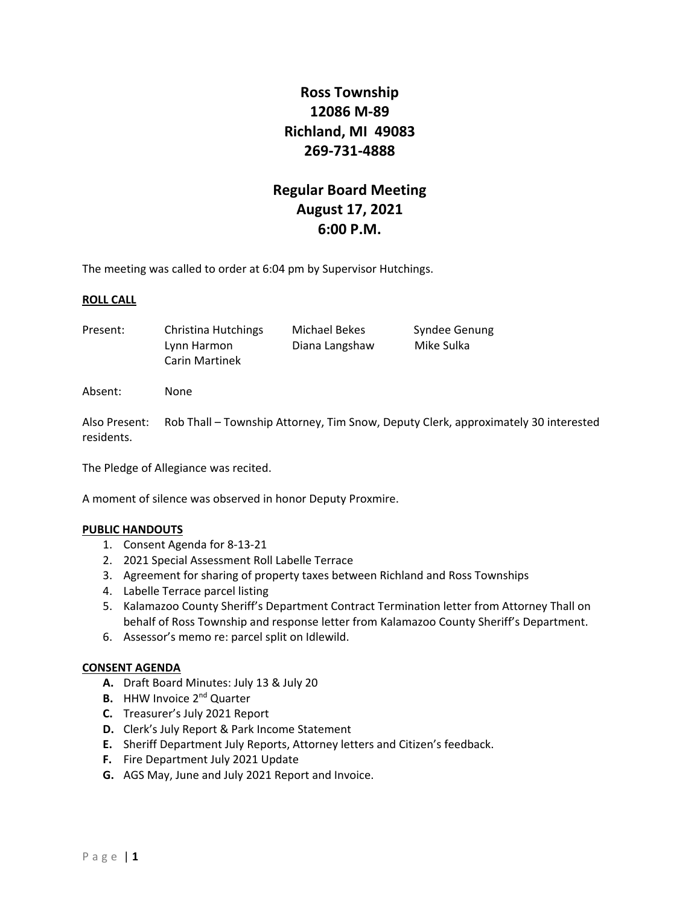# **Ross Township 12086 M‐89 Richland, MI 49083 269‐731‐4888**

# **Regular Board Meeting August 17, 2021 6:00 P.M.**

The meeting was called to order at 6:04 pm by Supervisor Hutchings.

## **ROLL CALL**

Present: Christina Hutchings Michael Bekes Syndee Genung Lynn Harmon Diana Langshaw Mike Sulka Carin Martinek

Absent: None

Also Present: Rob Thall – Township Attorney, Tim Snow, Deputy Clerk, approximately 30 interested residents.

The Pledge of Allegiance was recited.

A moment of silence was observed in honor Deputy Proxmire.

#### **PUBLIC HANDOUTS**

- 1. Consent Agenda for 8‐13‐21
- 2. 2021 Special Assessment Roll Labelle Terrace
- 3. Agreement for sharing of property taxes between Richland and Ross Townships
- 4. Labelle Terrace parcel listing
- 5. Kalamazoo County Sheriff's Department Contract Termination letter from Attorney Thall on behalf of Ross Township and response letter from Kalamazoo County Sheriff's Department.
- 6. Assessor's memo re: parcel split on Idlewild.

#### **CONSENT AGENDA**

- **A.** Draft Board Minutes: July 13 & July 20
- **B.** HHW Invoice 2<sup>nd</sup> Quarter
- **C.** Treasurer's July 2021 Report
- **D.** Clerk's July Report & Park Income Statement
- **E.** Sheriff Department July Reports, Attorney letters and Citizen's feedback.
- **F.** Fire Department July 2021 Update
- **G.** AGS May, June and July 2021 Report and Invoice.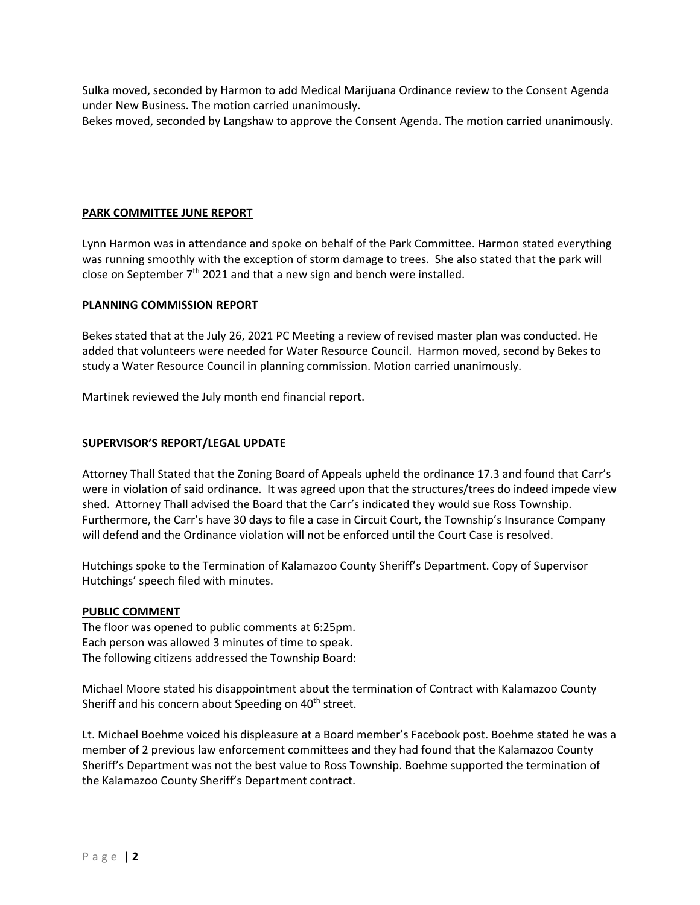Sulka moved, seconded by Harmon to add Medical Marijuana Ordinance review to the Consent Agenda under New Business. The motion carried unanimously.

Bekes moved, seconded by Langshaw to approve the Consent Agenda. The motion carried unanimously.

## **PARK COMMITTEE JUNE REPORT**

Lynn Harmon was in attendance and spoke on behalf of the Park Committee. Harmon stated everything was running smoothly with the exception of storm damage to trees. She also stated that the park will close on September  $7<sup>th</sup>$  2021 and that a new sign and bench were installed.

## **PLANNING COMMISSION REPORT**

Bekes stated that at the July 26, 2021 PC Meeting a review of revised master plan was conducted. He added that volunteers were needed for Water Resource Council. Harmon moved, second by Bekes to study a Water Resource Council in planning commission. Motion carried unanimously.

Martinek reviewed the July month end financial report.

## **SUPERVISOR'S REPORT/LEGAL UPDATE**

Attorney Thall Stated that the Zoning Board of Appeals upheld the ordinance 17.3 and found that Carr's were in violation of said ordinance. It was agreed upon that the structures/trees do indeed impede view shed. Attorney Thall advised the Board that the Carr's indicated they would sue Ross Township. Furthermore, the Carr's have 30 days to file a case in Circuit Court, the Township's Insurance Company will defend and the Ordinance violation will not be enforced until the Court Case is resolved.

Hutchings spoke to the Termination of Kalamazoo County Sheriff's Department. Copy of Supervisor Hutchings' speech filed with minutes.

#### **PUBLIC COMMENT**

The floor was opened to public comments at 6:25pm. Each person was allowed 3 minutes of time to speak. The following citizens addressed the Township Board:

Michael Moore stated his disappointment about the termination of Contract with Kalamazoo County Sheriff and his concern about Speeding on 40<sup>th</sup> street.

Lt. Michael Boehme voiced his displeasure at a Board member's Facebook post. Boehme stated he was a member of 2 previous law enforcement committees and they had found that the Kalamazoo County Sheriff's Department was not the best value to Ross Township. Boehme supported the termination of the Kalamazoo County Sheriff's Department contract.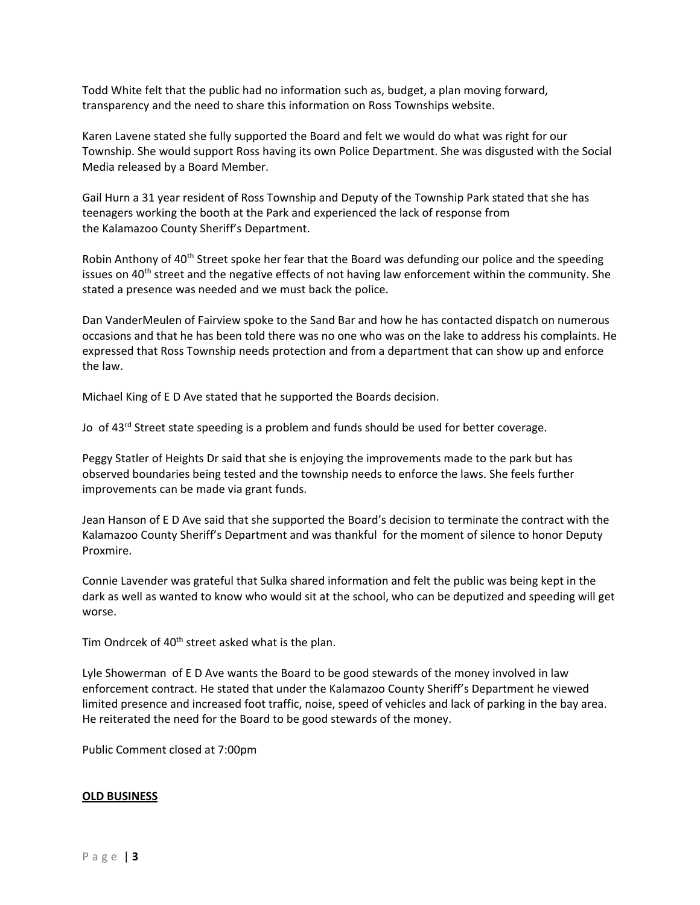Todd White felt that the public had no information such as, budget, a plan moving forward, transparency and the need to share this information on Ross Townships website.

Karen Lavene stated she fully supported the Board and felt we would do what was right for our Township. She would support Ross having its own Police Department. She was disgusted with the Social Media released by a Board Member.

Gail Hurn a 31 year resident of Ross Township and Deputy of the Township Park stated that she has teenagers working the booth at the Park and experienced the lack of response from the Kalamazoo County Sheriff's Department.

Robin Anthony of 40<sup>th</sup> Street spoke her fear that the Board was defunding our police and the speeding issues on  $40<sup>th</sup>$  street and the negative effects of not having law enforcement within the community. She stated a presence was needed and we must back the police.

Dan VanderMeulen of Fairview spoke to the Sand Bar and how he has contacted dispatch on numerous occasions and that he has been told there was no one who was on the lake to address his complaints. He expressed that Ross Township needs protection and from a department that can show up and enforce the law.

Michael King of E D Ave stated that he supported the Boards decision.

Jo of 43<sup>rd</sup> Street state speeding is a problem and funds should be used for better coverage.

Peggy Statler of Heights Dr said that she is enjoying the improvements made to the park but has observed boundaries being tested and the township needs to enforce the laws. She feels further improvements can be made via grant funds.

Jean Hanson of E D Ave said that she supported the Board's decision to terminate the contract with the Kalamazoo County Sheriff's Department and was thankful for the moment of silence to honor Deputy Proxmire.

Connie Lavender was grateful that Sulka shared information and felt the public was being kept in the dark as well as wanted to know who would sit at the school, who can be deputized and speeding will get worse.

Tim Ondrcek of 40<sup>th</sup> street asked what is the plan.

Lyle Showerman of E D Ave wants the Board to be good stewards of the money involved in law enforcement contract. He stated that under the Kalamazoo County Sheriff's Department he viewed limited presence and increased foot traffic, noise, speed of vehicles and lack of parking in the bay area. He reiterated the need for the Board to be good stewards of the money.

Public Comment closed at 7:00pm

#### **OLD BUSINESS**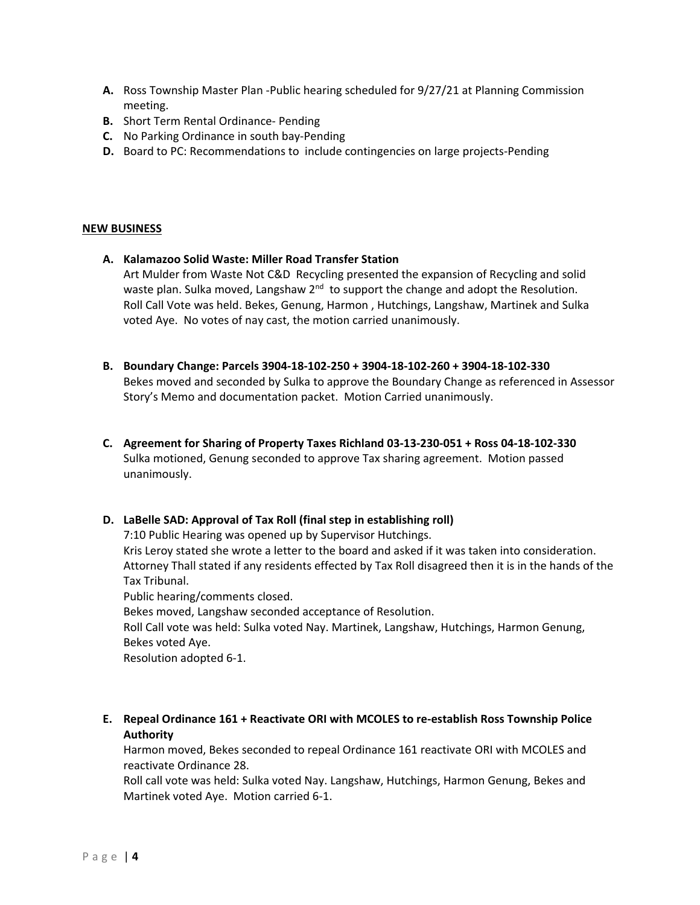- **A.** Ross Township Master Plan ‐Public hearing scheduled for 9/27/21 at Planning Commission meeting.
- **B.** Short Term Rental Ordinance‐ Pending
- **C.** No Parking Ordinance in south bay‐Pending
- **D.** Board to PC: Recommendations to include contingencies on large projects-Pending

## **NEW BUSINESS**

- **A. Kalamazoo Solid Waste: Miller Road Transfer Station**  Art Mulder from Waste Not C&D Recycling presented the expansion of Recycling and solid waste plan. Sulka moved, Langshaw 2<sup>nd</sup> to support the change and adopt the Resolution. Roll Call Vote was held. Bekes, Genung, Harmon , Hutchings, Langshaw, Martinek and Sulka voted Aye. No votes of nay cast, the motion carried unanimously.
- **B. Boundary Change: Parcels 3904‐18‐102‐250 + 3904‐18‐102‐260 + 3904‐18‐102‐330**  Bekes moved and seconded by Sulka to approve the Boundary Change as referenced in Assessor Story's Memo and documentation packet. Motion Carried unanimously.
- **C. Agreement for Sharing of Property Taxes Richland 03‐13‐230‐051 + Ross 04‐18‐102‐330**  Sulka motioned, Genung seconded to approve Tax sharing agreement. Motion passed unanimously.

## **D. LaBelle SAD: Approval of Tax Roll (final step in establishing roll)**

7:10 Public Hearing was opened up by Supervisor Hutchings. Kris Leroy stated she wrote a letter to the board and asked if it was taken into consideration. Attorney Thall stated if any residents effected by Tax Roll disagreed then it is in the hands of the Tax Tribunal. Public hearing/comments closed.

Bekes moved, Langshaw seconded acceptance of Resolution.

Roll Call vote was held: Sulka voted Nay. Martinek, Langshaw, Hutchings, Harmon Genung, Bekes voted Aye.

Resolution adopted 6‐1.

**E. Repeal Ordinance 161 + Reactivate ORI with MCOLES to re‐establish Ross Township Police Authority** 

Harmon moved, Bekes seconded to repeal Ordinance 161 reactivate ORI with MCOLES and reactivate Ordinance 28.

Roll call vote was held: Sulka voted Nay. Langshaw, Hutchings, Harmon Genung, Bekes and Martinek voted Aye. Motion carried 6‐1.